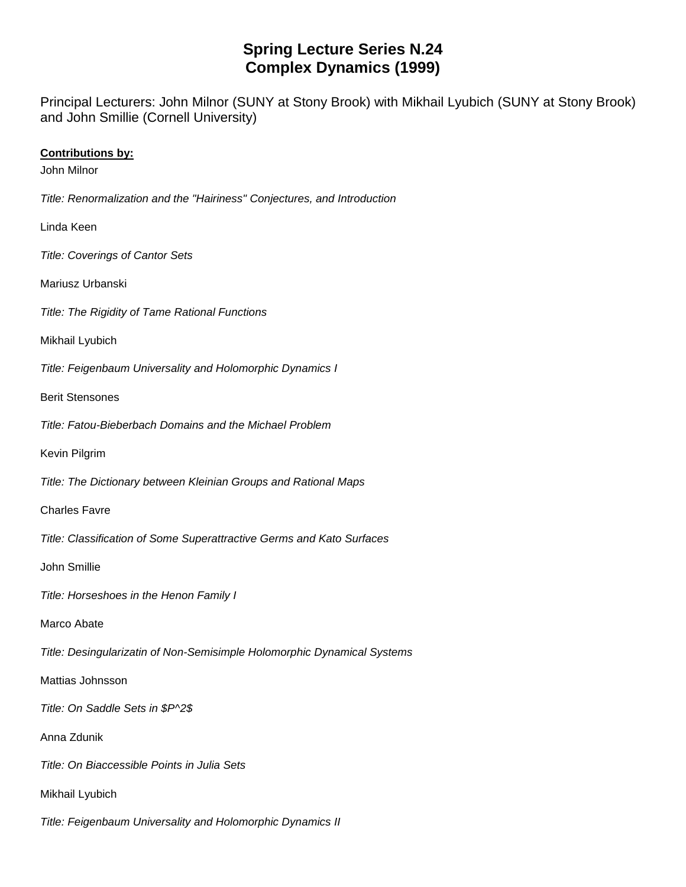## **Spring Lecture Series N.24 Complex Dynamics (1999)**

Principal Lecturers: John Milnor (SUNY at Stony Brook) with Mikhail Lyubich (SUNY at Stony Brook) and John Smillie (Cornell University)

## **Contributions by:**

John Milnor

*Title: Renormalization and the "Hairiness" Conjectures, and Introduction*

Linda Keen

*Title: Coverings of Cantor Sets*

Mariusz Urbanski

*Title: The Rigidity of Tame Rational Functions*

Mikhail Lyubich

*Title: Feigenbaum Universality and Holomorphic Dynamics I*

Berit Stensones

*Title: Fatou-Bieberbach Domains and the Michael Problem*

Kevin Pilgrim

*Title: The Dictionary between Kleinian Groups and Rational Maps*

Charles Favre

*Title: Classification of Some Superattractive Germs and Kato Surfaces*

John Smillie

*Title: Horseshoes in the Henon Family I*

Marco Abate

*Title: Desingularizatin of Non-Semisimple Holomorphic Dynamical Systems*

Mattias Johnsson

*Title: On Saddle Sets in \$P^2\$*

Anna Zdunik

*Title: On Biaccessible Points in Julia Sets*

Mikhail Lyubich

*Title: Feigenbaum Universality and Holomorphic Dynamics II*